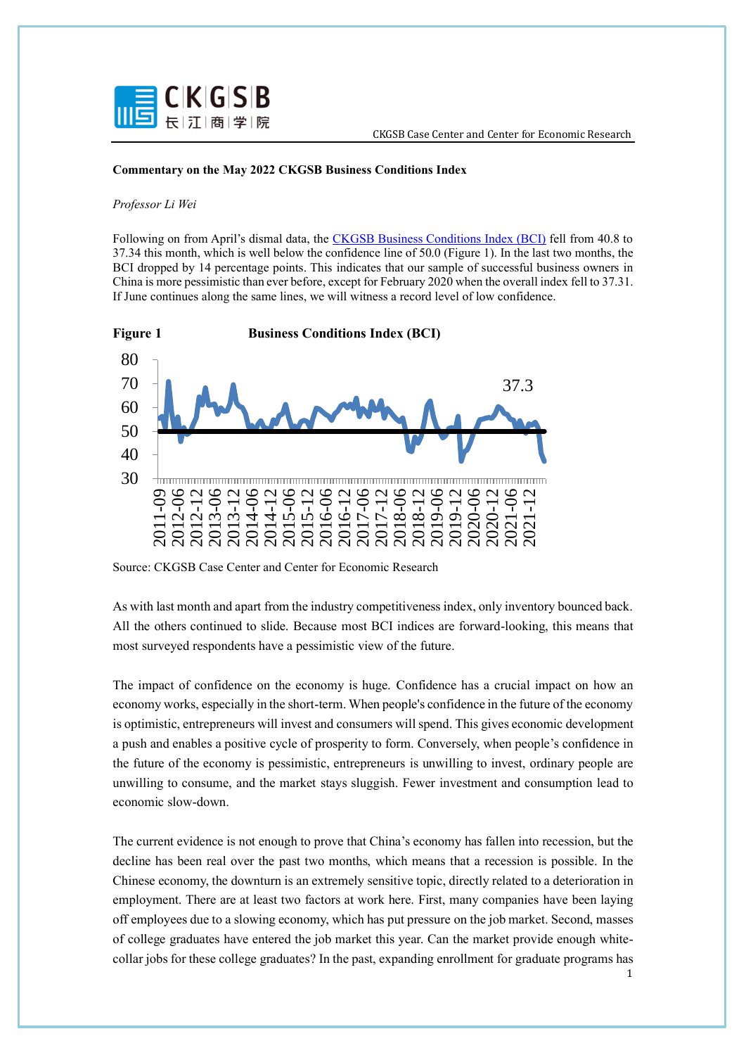

## **Commentary on the May 2022 CKGSB Business Conditions Index**

## *Professor Li Wei*

Following on from April's dismal data, the [CKGSB Business Conditions Index \(BCI\)](https://english.ckgsb.edu.cn/worldwide/insights/business-conditions-index/) fell from 40.8 to 37.34 this month, which is well below the confidence line of 50.0 (Figure 1). In the last two months, the BCI dropped by 14 percentage points. This indicates that our sample of successful business owners in China is more pessimistic than ever before, except for February 2020 when the overall index fell to 37.31. If June continues along the same lines, we will witness a record level of low confidence.



Source: CKGSB Case Center and Center for Economic Research

As with last month and apart from the industry competitiveness index, only inventory bounced back. All the others continued to slide. Because most BCI indices are forward-looking, this means that most surveyed respondents have a pessimistic view of the future.

The impact of confidence on the economy is huge. Confidence has a crucial impact on how an economy works, especially in the short-term. When people's confidence in the future of the economy is optimistic, entrepreneurs will invest and consumers will spend. This gives economic development a push and enables a positive cycle of prosperity to form. Conversely, when people's confidence in the future of the economy is pessimistic, entrepreneurs is unwilling to invest, ordinary people are unwilling to consume, and the market stays sluggish. Fewer investment and consumption lead to economic slow-down.

The current evidence is not enough to prove that China's economy has fallen into recession, but the decline has been real over the past two months, which means that a recession is possible. In the Chinese economy, the downturn is an extremely sensitive topic, directly related to a deterioration in employment. There are at least two factors at work here. First, many companies have been laying off employees due to a slowing economy, which has put pressure on the job market. Second, masses of college graduates have entered the job market this year. Can the market provide enough whitecollar jobs for these college graduates? In the past, expanding enrollment for graduate programs has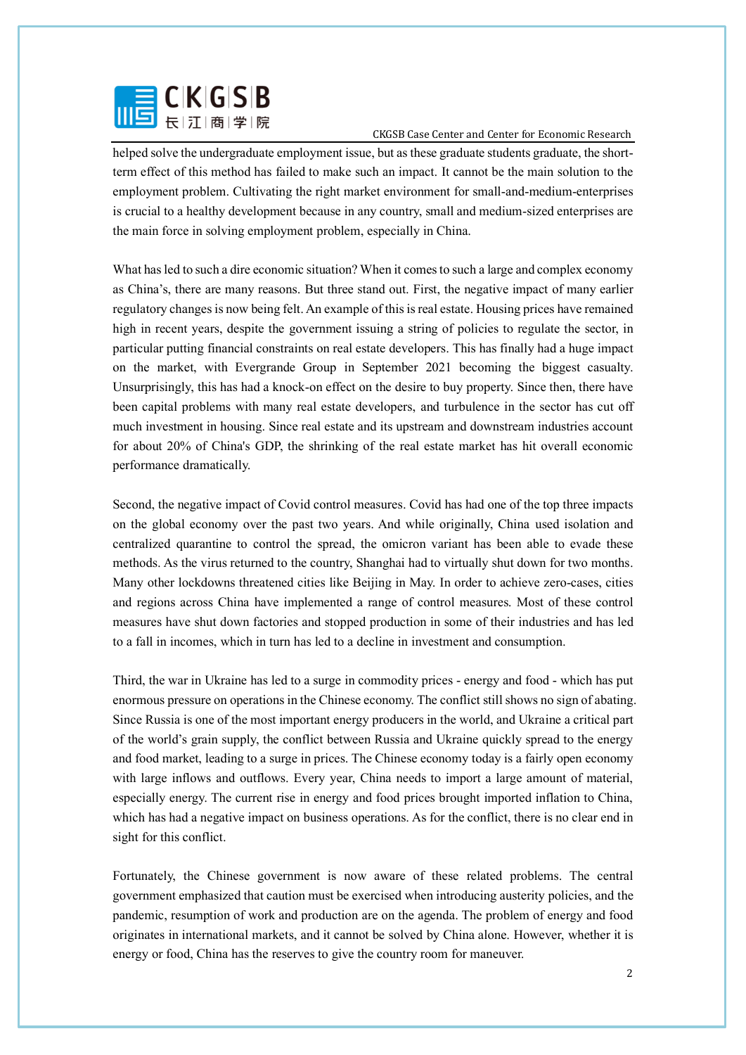

helped solve the undergraduate employment issue, but as these graduate students graduate, the shortterm effect of this method has failed to make such an impact. It cannot be the main solution to the employment problem. Cultivating the right market environment for small-and-medium-enterprises is crucial to a healthy development because in any country, small and medium-sized enterprises are the main force in solving employment problem, especially in China.

What has led to such a dire economic situation? When it comes to such a large and complex economy as China's, there are many reasons. But three stand out. First, the negative impact of many earlier regulatory changes is now being felt. An example of this is real estate. Housing prices have remained high in recent years, despite the government issuing a string of policies to regulate the sector, in particular putting financial constraints on real estate developers. This has finally had a huge impact on the market, with Evergrande Group in September 2021 becoming the biggest casualty. Unsurprisingly, this has had a knock-on effect on the desire to buy property. Since then, there have been capital problems with many real estate developers, and turbulence in the sector has cut off much investment in housing. Since real estate and its upstream and downstream industries account for about 20% of China's GDP, the shrinking of the real estate market has hit overall economic performance dramatically.

Second, the negative impact of Covid control measures. Covid has had one of the top three impacts on the global economy over the past two years. And while originally, China used isolation and centralized quarantine to control the spread, the omicron variant has been able to evade these methods. As the virus returned to the country, Shanghai had to virtually shut down for two months. Many other lockdowns threatened cities like Beijing in May. In order to achieve zero-cases, cities and regions across China have implemented a range of control measures. Most of these control measures have shut down factories and stopped production in some of their industries and has led to a fall in incomes, which in turn has led to a decline in investment and consumption.

Third, the war in Ukraine has led to a surge in commodity prices - energy and food - which has put enormous pressure on operations in the Chinese economy. The conflict still shows no sign of abating. Since Russia is one of the most important energy producers in the world, and Ukraine a critical part of the world's grain supply, the conflict between Russia and Ukraine quickly spread to the energy and food market, leading to a surge in prices. The Chinese economy today is a fairly open economy with large inflows and outflows. Every year, China needs to import a large amount of material, especially energy. The current rise in energy and food prices brought imported inflation to China, which has had a negative impact on business operations. As for the conflict, there is no clear end in sight for this conflict.

Fortunately, the Chinese government is now aware of these related problems. The central government emphasized that caution must be exercised when introducing austerity policies, and the pandemic, resumption of work and production are on the agenda. The problem of energy and food originates in international markets, and it cannot be solved by China alone. However, whether it is energy or food, China has the reserves to give the country room for maneuver.